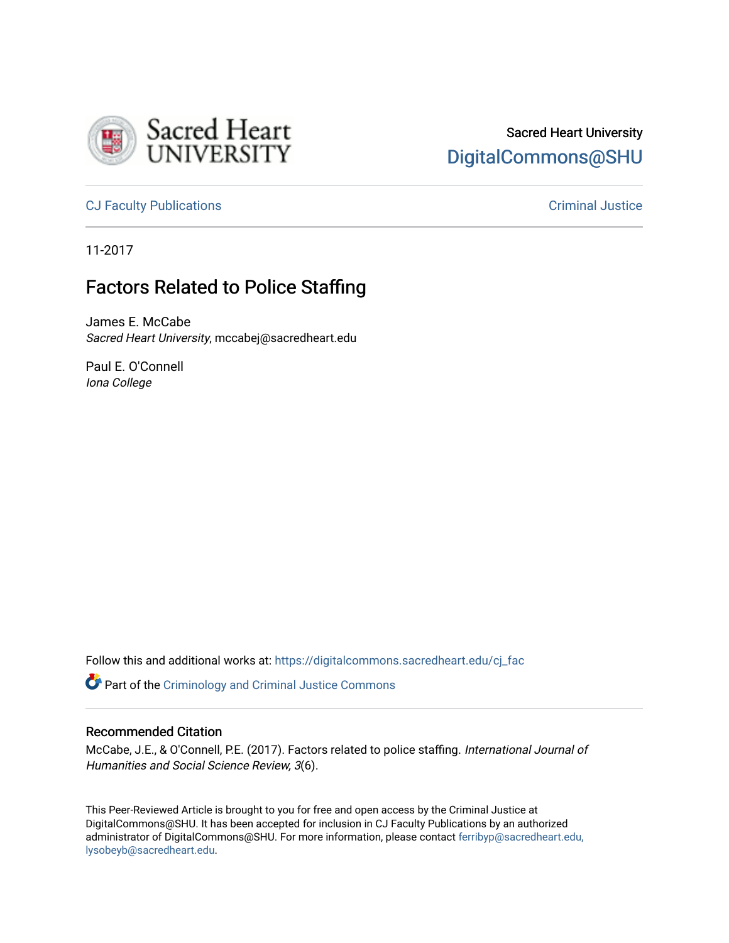

# Sacred Heart University [DigitalCommons@SHU](https://digitalcommons.sacredheart.edu/)

[CJ Faculty Publications](https://digitalcommons.sacredheart.edu/cj_fac) [Criminal Justice](https://digitalcommons.sacredheart.edu/cj) 

11-2017

## Factors Related to Police Staffing

James E. McCabe Sacred Heart University, mccabej@sacredheart.edu

Paul E. O'Connell Iona College

Follow this and additional works at: [https://digitalcommons.sacredheart.edu/cj\\_fac](https://digitalcommons.sacredheart.edu/cj_fac?utm_source=digitalcommons.sacredheart.edu%2Fcj_fac%2F23&utm_medium=PDF&utm_campaign=PDFCoverPages) 

**Part of the [Criminology and Criminal Justice Commons](http://network.bepress.com/hgg/discipline/367?utm_source=digitalcommons.sacredheart.edu%2Fcj_fac%2F23&utm_medium=PDF&utm_campaign=PDFCoverPages)** 

#### Recommended Citation

McCabe, J.E., & O'Connell, P.E. (2017). Factors related to police staffing. International Journal of Humanities and Social Science Review, 3(6).

This Peer-Reviewed Article is brought to you for free and open access by the Criminal Justice at DigitalCommons@SHU. It has been accepted for inclusion in CJ Faculty Publications by an authorized administrator of DigitalCommons@SHU. For more information, please contact [ferribyp@sacredheart.edu,](mailto:ferribyp@sacredheart.edu,%20lysobeyb@sacredheart.edu) [lysobeyb@sacredheart.edu](mailto:ferribyp@sacredheart.edu,%20lysobeyb@sacredheart.edu).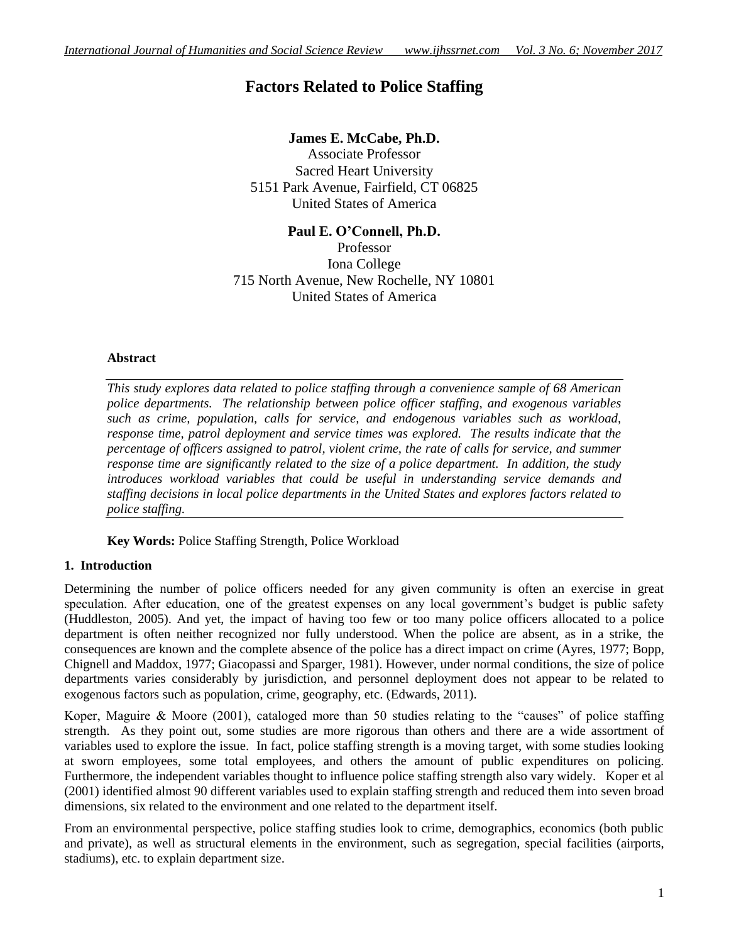## **Factors Related to Police Staffing**

## **James E. McCabe, Ph.D.**

Associate Professor Sacred Heart University 5151 Park Avenue, Fairfield, CT 06825 United States of America

**Paul E. O'Connell, Ph.D.** Professor Iona College 715 North Avenue, New Rochelle, NY 10801 United States of America

## **Abstract**

*This study explores data related to police staffing through a convenience sample of 68 American police departments. The relationship between police officer staffing, and exogenous variables such as crime, population, calls for service, and endogenous variables such as workload, response time, patrol deployment and service times was explored. The results indicate that the percentage of officers assigned to patrol, violent crime, the rate of calls for service, and summer response time are significantly related to the size of a police department. In addition, the study introduces workload variables that could be useful in understanding service demands and staffing decisions in local police departments in the United States and explores factors related to police staffing.*

**Key Words:** Police Staffing Strength, Police Workload

## **1. Introduction**

Determining the number of police officers needed for any given community is often an exercise in great speculation. After education, one of the greatest expenses on any local government's budget is public safety (Huddleston, 2005). And yet, the impact of having too few or too many police officers allocated to a police department is often neither recognized nor fully understood. When the police are absent, as in a strike, the consequences are known and the complete absence of the police has a direct impact on crime (Ayres, 1977; Bopp, Chignell and Maddox, 1977; Giacopassi and Sparger, 1981). However, under normal conditions, the size of police departments varies considerably by jurisdiction, and personnel deployment does not appear to be related to exogenous factors such as population, crime, geography, etc. (Edwards, 2011).

Koper, Maguire & Moore (2001), cataloged more than 50 studies relating to the "causes" of police staffing strength. As they point out, some studies are more rigorous than others and there are a wide assortment of variables used to explore the issue. In fact, police staffing strength is a moving target, with some studies looking at sworn employees, some total employees, and others the amount of public expenditures on policing. Furthermore, the independent variables thought to influence police staffing strength also vary widely. Koper et al (2001) identified almost 90 different variables used to explain staffing strength and reduced them into seven broad dimensions, six related to the environment and one related to the department itself.

From an environmental perspective, police staffing studies look to crime, demographics, economics (both public and private), as well as structural elements in the environment, such as segregation, special facilities (airports, stadiums), etc. to explain department size.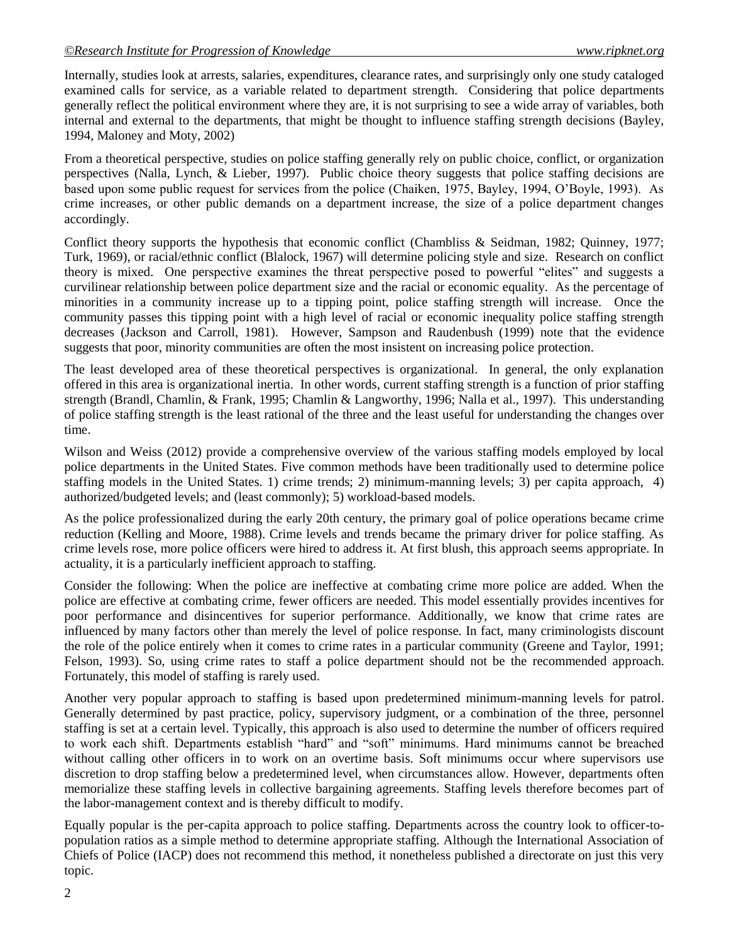Internally, studies look at arrests, salaries, expenditures, clearance rates, and surprisingly only one study cataloged examined calls for service, as a variable related to department strength. Considering that police departments generally reflect the political environment where they are, it is not surprising to see a wide array of variables, both internal and external to the departments, that might be thought to influence staffing strength decisions (Bayley, 1994, Maloney and Moty, 2002)

From a theoretical perspective, studies on police staffing generally rely on public choice, conflict, or organization perspectives (Nalla, Lynch, & Lieber, 1997). Public choice theory suggests that police staffing decisions are based upon some public request for services from the police (Chaiken, 1975, Bayley, 1994, O'Boyle, 1993). As crime increases, or other public demands on a department increase, the size of a police department changes accordingly.

Conflict theory supports the hypothesis that economic conflict (Chambliss & Seidman, 1982; Quinney, 1977; Turk, 1969), or racial/ethnic conflict (Blalock, 1967) will determine policing style and size. Research on conflict theory is mixed. One perspective examines the threat perspective posed to powerful "elites" and suggests a curvilinear relationship between police department size and the racial or economic equality. As the percentage of minorities in a community increase up to a tipping point, police staffing strength will increase. Once the community passes this tipping point with a high level of racial or economic inequality police staffing strength decreases (Jackson and Carroll, 1981). However, Sampson and Raudenbush (1999) note that the evidence suggests that poor, minority communities are often the most insistent on increasing police protection.

The least developed area of these theoretical perspectives is organizational. In general, the only explanation offered in this area is organizational inertia. In other words, current staffing strength is a function of prior staffing strength (Brandl, Chamlin, & Frank, 1995; Chamlin & Langworthy, 1996; Nalla et al., 1997). This understanding of police staffing strength is the least rational of the three and the least useful for understanding the changes over time.

Wilson and Weiss (2012) provide a comprehensive overview of the various staffing models employed by local police departments in the United States. Five common methods have been traditionally used to determine police staffing models in the United States. 1) crime trends; 2) minimum-manning levels; 3) per capita approach, 4) authorized/budgeted levels; and (least commonly); 5) workload-based models.

As the police professionalized during the early 20th century, the primary goal of police operations became crime reduction (Kelling and Moore, 1988). Crime levels and trends became the primary driver for police staffing. As crime levels rose, more police officers were hired to address it. At first blush, this approach seems appropriate. In actuality, it is a particularly inefficient approach to staffing.

Consider the following: When the police are ineffective at combating crime more police are added. When the police are effective at combating crime, fewer officers are needed. This model essentially provides incentives for poor performance and disincentives for superior performance. Additionally, we know that crime rates are influenced by many factors other than merely the level of police response. In fact, many criminologists discount the role of the police entirely when it comes to crime rates in a particular community (Greene and Taylor, 1991; Felson, 1993). So, using crime rates to staff a police department should not be the recommended approach. Fortunately, this model of staffing is rarely used.

Another very popular approach to staffing is based upon predetermined minimum-manning levels for patrol. Generally determined by past practice, policy, supervisory judgment, or a combination of the three, personnel staffing is set at a certain level. Typically, this approach is also used to determine the number of officers required to work each shift. Departments establish "hard" and "soft" minimums. Hard minimums cannot be breached without calling other officers in to work on an overtime basis. Soft minimums occur where supervisors use discretion to drop staffing below a predetermined level, when circumstances allow. However, departments often memorialize these staffing levels in collective bargaining agreements. Staffing levels therefore becomes part of the labor-management context and is thereby difficult to modify.

Equally popular is the per-capita approach to police staffing. Departments across the country look to officer-topopulation ratios as a simple method to determine appropriate staffing. Although the International Association of Chiefs of Police (IACP) does not recommend this method, it nonetheless published a directorate on just this very topic.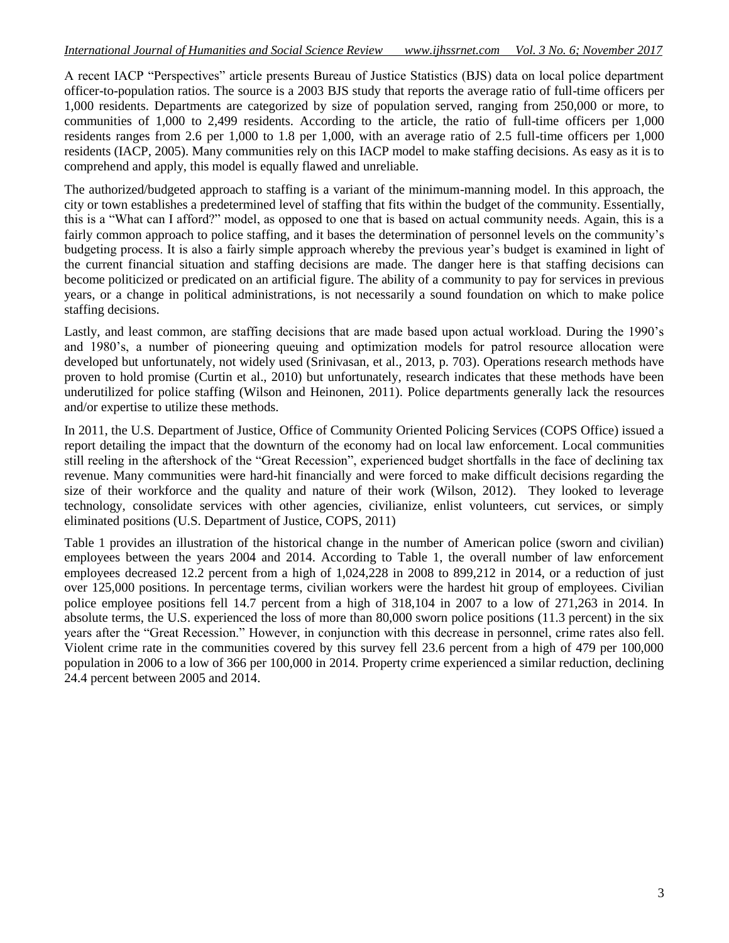A recent IACP "Perspectives" article presents Bureau of Justice Statistics (BJS) data on local police department officer-to-population ratios. The source is a 2003 BJS study that reports the average ratio of full-time officers per 1,000 residents. Departments are categorized by size of population served, ranging from 250,000 or more, to communities of 1,000 to 2,499 residents. According to the article, the ratio of full-time officers per 1,000 residents ranges from 2.6 per 1,000 to 1.8 per 1,000, with an average ratio of 2.5 full-time officers per 1,000 residents (IACP, 2005). Many communities rely on this IACP model to make staffing decisions. As easy as it is to comprehend and apply, this model is equally flawed and unreliable.

The authorized/budgeted approach to staffing is a variant of the minimum-manning model. In this approach, the city or town establishes a predetermined level of staffing that fits within the budget of the community. Essentially, this is a "What can I afford?" model, as opposed to one that is based on actual community needs. Again, this is a fairly common approach to police staffing, and it bases the determination of personnel levels on the community's budgeting process. It is also a fairly simple approach whereby the previous year's budget is examined in light of the current financial situation and staffing decisions are made. The danger here is that staffing decisions can become politicized or predicated on an artificial figure. The ability of a community to pay for services in previous years, or a change in political administrations, is not necessarily a sound foundation on which to make police staffing decisions.

Lastly, and least common, are staffing decisions that are made based upon actual workload. During the 1990's and 1980's, a number of pioneering queuing and optimization models for patrol resource allocation were developed but unfortunately, not widely used (Srinivasan, et al., 2013, p. 703). Operations research methods have proven to hold promise (Curtin et al., 2010) but unfortunately, research indicates that these methods have been underutilized for police staffing (Wilson and Heinonen, 2011). Police departments generally lack the resources and/or expertise to utilize these methods.

In 2011, the U.S. Department of Justice, Office of Community Oriented Policing Services (COPS Office) issued a report detailing the impact that the downturn of the economy had on local law enforcement. Local communities still reeling in the aftershock of the "Great Recession", experienced budget shortfalls in the face of declining tax revenue. Many communities were hard-hit financially and were forced to make difficult decisions regarding the size of their workforce and the quality and nature of their work (Wilson, 2012). They looked to leverage technology, consolidate services with other agencies, civilianize, enlist volunteers, cut services, or simply eliminated positions (U.S. Department of Justice, COPS, 2011)

Table 1 provides an illustration of the historical change in the number of American police (sworn and civilian) employees between the years 2004 and 2014. According to Table 1, the overall number of law enforcement employees decreased 12.2 percent from a high of 1,024,228 in 2008 to 899,212 in 2014, or a reduction of just over 125,000 positions. In percentage terms, civilian workers were the hardest hit group of employees. Civilian police employee positions fell 14.7 percent from a high of 318,104 in 2007 to a low of 271,263 in 2014. In absolute terms, the U.S. experienced the loss of more than 80,000 sworn police positions (11.3 percent) in the six years after the "Great Recession." However, in conjunction with this decrease in personnel, crime rates also fell. Violent crime rate in the communities covered by this survey fell 23.6 percent from a high of 479 per 100,000 population in 2006 to a low of 366 per 100,000 in 2014. Property crime experienced a similar reduction, declining 24.4 percent between 2005 and 2014.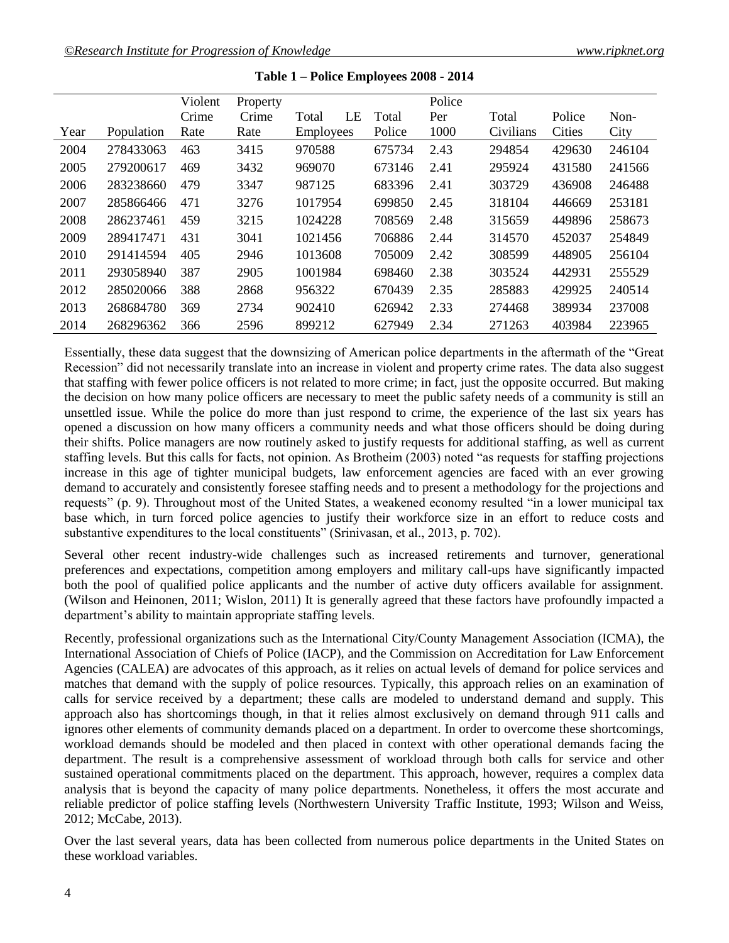|      |            | Violent | Property |                  |    |        | Police |           |               |        |
|------|------------|---------|----------|------------------|----|--------|--------|-----------|---------------|--------|
|      |            | Crime   | Crime    | Total            | LE | Total  | Per    | Total     | Police        | Non-   |
| Year | Population | Rate    | Rate     | <b>Employees</b> |    | Police | 1000   | Civilians | <b>Cities</b> | City   |
| 2004 | 278433063  | 463     | 3415     | 970588           |    | 675734 | 2.43   | 294854    | 429630        | 246104 |
| 2005 | 279200617  | 469     | 3432     | 969070           |    | 673146 | 2.41   | 295924    | 431580        | 241566 |
| 2006 | 283238660  | 479     | 3347     | 987125           |    | 683396 | 2.41   | 303729    | 436908        | 246488 |
| 2007 | 285866466  | 471     | 3276     | 1017954          |    | 699850 | 2.45   | 318104    | 446669        | 253181 |
| 2008 | 286237461  | 459     | 3215     | 1024228          |    | 708569 | 2.48   | 315659    | 449896        | 258673 |
| 2009 | 289417471  | 431     | 3041     | 1021456          |    | 706886 | 2.44   | 314570    | 452037        | 254849 |
| 2010 | 291414594  | 405     | 2946     | 1013608          |    | 705009 | 2.42   | 308599    | 448905        | 256104 |
| 2011 | 293058940  | 387     | 2905     | 1001984          |    | 698460 | 2.38   | 303524    | 442931        | 255529 |
| 2012 | 285020066  | 388     | 2868     | 956322           |    | 670439 | 2.35   | 285883    | 429925        | 240514 |
| 2013 | 268684780  | 369     | 2734     | 902410           |    | 626942 | 2.33   | 274468    | 389934        | 237008 |
| 2014 | 268296362  | 366     | 2596     | 899212           |    | 627949 | 2.34   | 271263    | 403984        | 223965 |

| Table 1 – Police Employees 2008 - 2014 |  |
|----------------------------------------|--|
|----------------------------------------|--|

Essentially, these data suggest that the downsizing of American police departments in the aftermath of the "Great Recession" did not necessarily translate into an increase in violent and property crime rates. The data also suggest that staffing with fewer police officers is not related to more crime; in fact, just the opposite occurred. But making the decision on how many police officers are necessary to meet the public safety needs of a community is still an unsettled issue. While the police do more than just respond to crime, the experience of the last six years has opened a discussion on how many officers a community needs and what those officers should be doing during their shifts. Police managers are now routinely asked to justify requests for additional staffing, as well as current staffing levels. But this calls for facts, not opinion. As Brotheim (2003) noted "as requests for staffing projections increase in this age of tighter municipal budgets, law enforcement agencies are faced with an ever growing demand to accurately and consistently foresee staffing needs and to present a methodology for the projections and requests" (p. 9). Throughout most of the United States, a weakened economy resulted "in a lower municipal tax base which, in turn forced police agencies to justify their workforce size in an effort to reduce costs and substantive expenditures to the local constituents" (Srinivasan, et al., 2013, p. 702).

Several other recent industry-wide challenges such as increased retirements and turnover, generational preferences and expectations, competition among employers and military call-ups have significantly impacted both the pool of qualified police applicants and the number of active duty officers available for assignment. (Wilson and Heinonen, 2011; Wislon, 2011) It is generally agreed that these factors have profoundly impacted a department's ability to maintain appropriate staffing levels.

Recently, professional organizations such as the International City/County Management Association (ICMA), the International Association of Chiefs of Police (IACP), and the Commission on Accreditation for Law Enforcement Agencies (CALEA) are advocates of this approach, as it relies on actual levels of demand for police services and matches that demand with the supply of police resources. Typically, this approach relies on an examination of calls for service received by a department; these calls are modeled to understand demand and supply. This approach also has shortcomings though, in that it relies almost exclusively on demand through 911 calls and ignores other elements of community demands placed on a department. In order to overcome these shortcomings, workload demands should be modeled and then placed in context with other operational demands facing the department. The result is a comprehensive assessment of workload through both calls for service and other sustained operational commitments placed on the department. This approach, however, requires a complex data analysis that is beyond the capacity of many police departments. Nonetheless, it offers the most accurate and reliable predictor of police staffing levels (Northwestern University Traffic Institute, 1993; Wilson and Weiss, 2012; McCabe, 2013).

Over the last several years, data has been collected from numerous police departments in the United States on these workload variables.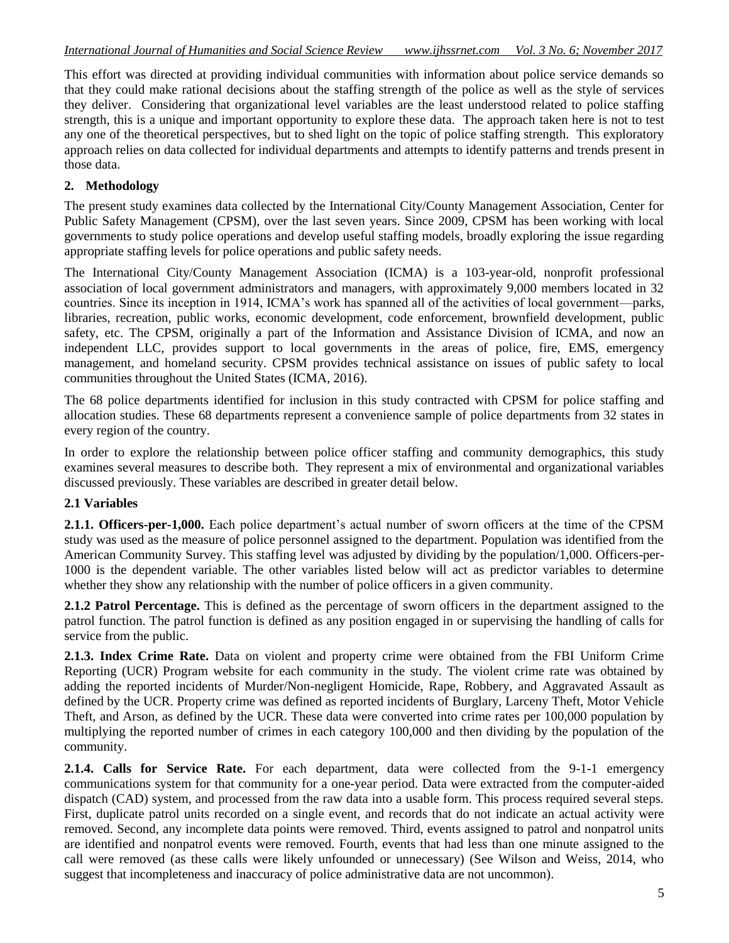This effort was directed at providing individual communities with information about police service demands so that they could make rational decisions about the staffing strength of the police as well as the style of services they deliver. Considering that organizational level variables are the least understood related to police staffing strength, this is a unique and important opportunity to explore these data. The approach taken here is not to test any one of the theoretical perspectives, but to shed light on the topic of police staffing strength. This exploratory approach relies on data collected for individual departments and attempts to identify patterns and trends present in those data.

## **2. Methodology**

The present study examines data collected by the International City/County Management Association, Center for Public Safety Management (CPSM), over the last seven years. Since 2009, CPSM has been working with local governments to study police operations and develop useful staffing models, broadly exploring the issue regarding appropriate staffing levels for police operations and public safety needs.

The International City/County Management Association (ICMA) is a 103-year-old, nonprofit professional association of local government administrators and managers, with approximately 9,000 members located in 32 countries. Since its inception in 1914, ICMA's work has spanned all of the activities of local government—parks, libraries, recreation, public works, economic development, code enforcement, brownfield development, public safety, etc. The CPSM, originally a part of the Information and Assistance Division of ICMA, and now an independent LLC, provides support to local governments in the areas of police, fire, EMS, emergency management, and homeland security. CPSM provides technical assistance on issues of public safety to local communities throughout the United States (ICMA, 2016).

The 68 police departments identified for inclusion in this study contracted with CPSM for police staffing and allocation studies. These 68 departments represent a convenience sample of police departments from 32 states in every region of the country.

In order to explore the relationship between police officer staffing and community demographics, this study examines several measures to describe both. They represent a mix of environmental and organizational variables discussed previously. These variables are described in greater detail below.

## **2.1 Variables**

**2.1.1. Officers-per-1,000.** Each police department's actual number of sworn officers at the time of the CPSM study was used as the measure of police personnel assigned to the department. Population was identified from the American Community Survey. This staffing level was adjusted by dividing by the population/1,000. Officers-per-1000 is the dependent variable. The other variables listed below will act as predictor variables to determine whether they show any relationship with the number of police officers in a given community.

**2.1.2 Patrol Percentage.** This is defined as the percentage of sworn officers in the department assigned to the patrol function. The patrol function is defined as any position engaged in or supervising the handling of calls for service from the public.

**2.1.3. Index Crime Rate.** Data on violent and property crime were obtained from the FBI Uniform Crime Reporting (UCR) Program website for each community in the study. The violent crime rate was obtained by adding the reported incidents of Murder/Non-negligent Homicide, Rape, Robbery, and Aggravated Assault as defined by the UCR. Property crime was defined as reported incidents of Burglary, Larceny Theft, Motor Vehicle Theft, and Arson, as defined by the UCR. These data were converted into crime rates per 100,000 population by multiplying the reported number of crimes in each category 100,000 and then dividing by the population of the community.

**2.1.4. Calls for Service Rate.** For each department, data were collected from the 9-1-1 emergency communications system for that community for a one-year period. Data were extracted from the computer-aided dispatch (CAD) system, and processed from the raw data into a usable form. This process required several steps. First, duplicate patrol units recorded on a single event, and records that do not indicate an actual activity were removed. Second, any incomplete data points were removed. Third, events assigned to patrol and nonpatrol units are identified and nonpatrol events were removed. Fourth, events that had less than one minute assigned to the call were removed (as these calls were likely unfounded or unnecessary) (See Wilson and Weiss, 2014, who suggest that incompleteness and inaccuracy of police administrative data are not uncommon).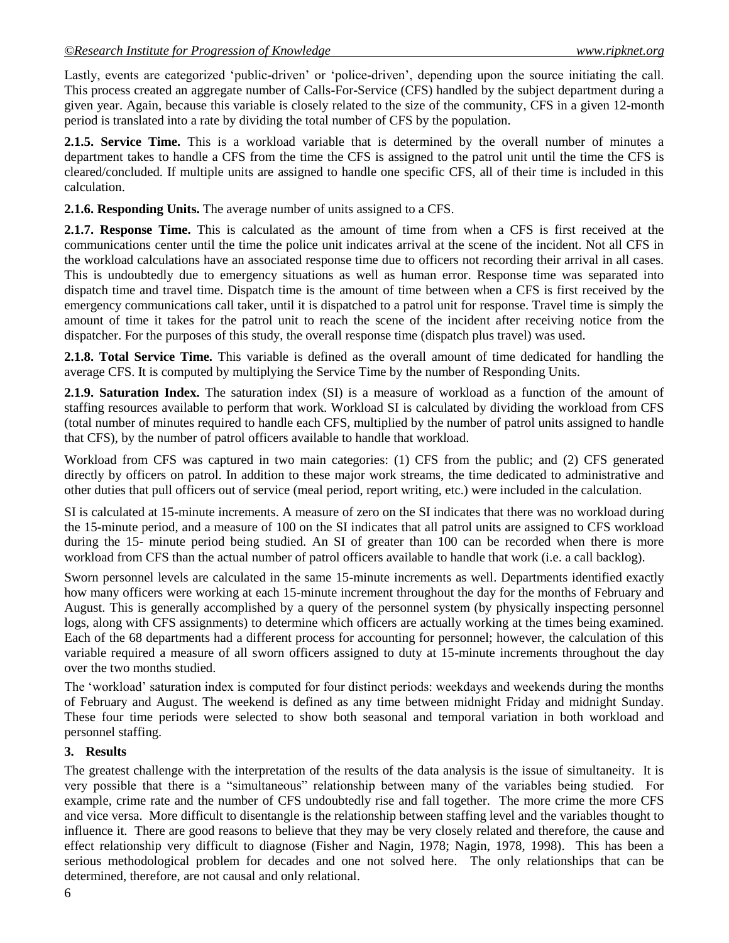Lastly, events are categorized 'public-driven' or 'police-driven', depending upon the source initiating the call. This process created an aggregate number of Calls-For-Service (CFS) handled by the subject department during a given year. Again, because this variable is closely related to the size of the community, CFS in a given 12-month period is translated into a rate by dividing the total number of CFS by the population.

**2.1.5. Service Time.** This is a workload variable that is determined by the overall number of minutes a department takes to handle a CFS from the time the CFS is assigned to the patrol unit until the time the CFS is cleared/concluded. If multiple units are assigned to handle one specific CFS, all of their time is included in this calculation.

**2.1.6. Responding Units.** The average number of units assigned to a CFS.

**2.1.7. Response Time.** This is calculated as the amount of time from when a CFS is first received at the communications center until the time the police unit indicates arrival at the scene of the incident. Not all CFS in the workload calculations have an associated response time due to officers not recording their arrival in all cases. This is undoubtedly due to emergency situations as well as human error. Response time was separated into dispatch time and travel time. Dispatch time is the amount of time between when a CFS is first received by the emergency communications call taker, until it is dispatched to a patrol unit for response. Travel time is simply the amount of time it takes for the patrol unit to reach the scene of the incident after receiving notice from the dispatcher. For the purposes of this study, the overall response time (dispatch plus travel) was used.

**2.1.8. Total Service Time.** This variable is defined as the overall amount of time dedicated for handling the average CFS. It is computed by multiplying the Service Time by the number of Responding Units.

**2.1.9. Saturation Index.** The saturation index (SI) is a measure of workload as a function of the amount of staffing resources available to perform that work. Workload SI is calculated by dividing the workload from CFS (total number of minutes required to handle each CFS, multiplied by the number of patrol units assigned to handle that CFS), by the number of patrol officers available to handle that workload.

Workload from CFS was captured in two main categories: (1) CFS from the public; and (2) CFS generated directly by officers on patrol. In addition to these major work streams, the time dedicated to administrative and other duties that pull officers out of service (meal period, report writing, etc.) were included in the calculation.

SI is calculated at 15-minute increments. A measure of zero on the SI indicates that there was no workload during the 15-minute period, and a measure of 100 on the SI indicates that all patrol units are assigned to CFS workload during the 15- minute period being studied. An SI of greater than 100 can be recorded when there is more workload from CFS than the actual number of patrol officers available to handle that work (i.e. a call backlog).

Sworn personnel levels are calculated in the same 15-minute increments as well. Departments identified exactly how many officers were working at each 15-minute increment throughout the day for the months of February and August. This is generally accomplished by a query of the personnel system (by physically inspecting personnel logs, along with CFS assignments) to determine which officers are actually working at the times being examined. Each of the 68 departments had a different process for accounting for personnel; however, the calculation of this variable required a measure of all sworn officers assigned to duty at 15-minute increments throughout the day over the two months studied.

The 'workload' saturation index is computed for four distinct periods: weekdays and weekends during the months of February and August. The weekend is defined as any time between midnight Friday and midnight Sunday. These four time periods were selected to show both seasonal and temporal variation in both workload and personnel staffing.

## **3. Results**

The greatest challenge with the interpretation of the results of the data analysis is the issue of simultaneity. It is very possible that there is a "simultaneous" relationship between many of the variables being studied. For example, crime rate and the number of CFS undoubtedly rise and fall together. The more crime the more CFS and vice versa. More difficult to disentangle is the relationship between staffing level and the variables thought to influence it. There are good reasons to believe that they may be very closely related and therefore, the cause and effect relationship very difficult to diagnose (Fisher and Nagin, 1978; Nagin, 1978, 1998). This has been a serious methodological problem for decades and one not solved here. The only relationships that can be determined, therefore, are not causal and only relational.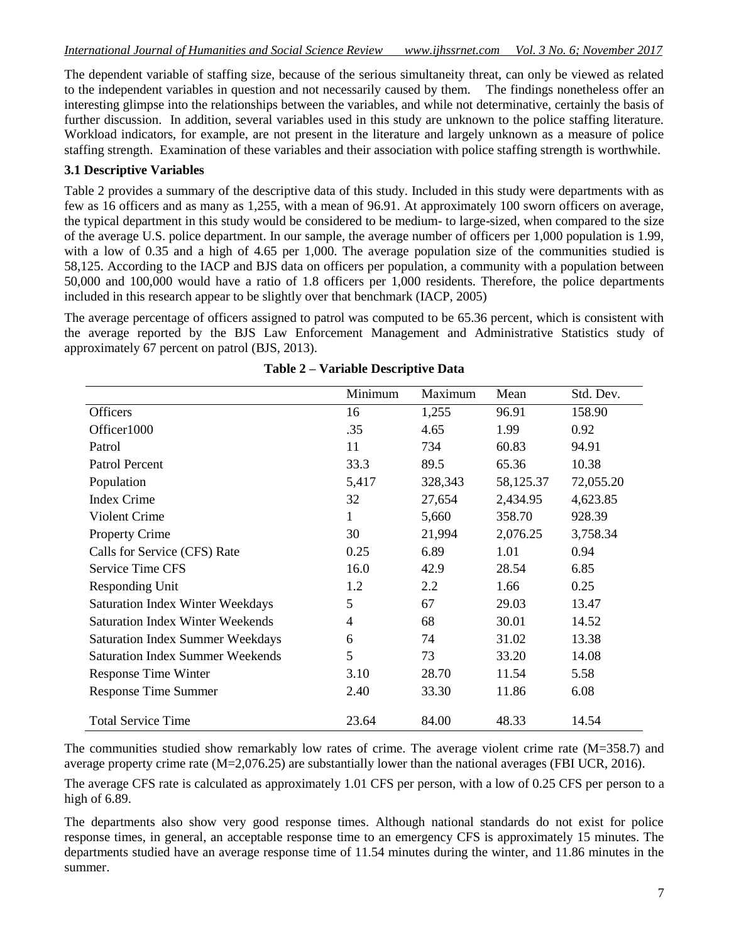The dependent variable of staffing size, because of the serious simultaneity threat, can only be viewed as related to the independent variables in question and not necessarily caused by them. The findings nonetheless offer an interesting glimpse into the relationships between the variables, and while not determinative, certainly the basis of further discussion. In addition, several variables used in this study are unknown to the police staffing literature. Workload indicators, for example, are not present in the literature and largely unknown as a measure of police staffing strength. Examination of these variables and their association with police staffing strength is worthwhile.

### **3.1 Descriptive Variables**

Table 2 provides a summary of the descriptive data of this study. Included in this study were departments with as few as 16 officers and as many as 1,255, with a mean of 96.91. At approximately 100 sworn officers on average, the typical department in this study would be considered to be medium- to large-sized, when compared to the size of the average U.S. police department. In our sample, the average number of officers per 1,000 population is 1.99, with a low of 0.35 and a high of 4.65 per 1,000. The average population size of the communities studied is 58,125. According to the IACP and BJS data on officers per population, a community with a population between 50,000 and 100,000 would have a ratio of 1.8 officers per 1,000 residents. Therefore, the police departments included in this research appear to be slightly over that benchmark (IACP, 2005)

The average percentage of officers assigned to patrol was computed to be 65.36 percent, which is consistent with the average reported by the BJS Law Enforcement Management and Administrative Statistics study of approximately 67 percent on patrol (BJS, 2013).

|                                         | Minimum | Maximum | Mean      | Std. Dev. |
|-----------------------------------------|---------|---------|-----------|-----------|
| <b>Officers</b>                         | 16      | 1,255   | 96.91     | 158.90    |
| Officer1000                             | .35     | 4.65    | 1.99      | 0.92      |
| Patrol                                  | 11      | 734     | 60.83     | 94.91     |
| Patrol Percent                          | 33.3    | 89.5    | 65.36     | 10.38     |
| Population                              | 5,417   | 328,343 | 58,125.37 | 72,055.20 |
| <b>Index Crime</b>                      | 32      | 27,654  | 2,434.95  | 4,623.85  |
| <b>Violent Crime</b>                    | 1       | 5,660   | 358.70    | 928.39    |
| <b>Property Crime</b>                   | 30      | 21,994  | 2,076.25  | 3,758.34  |
| Calls for Service (CFS) Rate            | 0.25    | 6.89    | 1.01      | 0.94      |
| <b>Service Time CFS</b>                 | 16.0    | 42.9    | 28.54     | 6.85      |
| Responding Unit                         | 1.2     | 2.2     | 1.66      | 0.25      |
| <b>Saturation Index Winter Weekdays</b> | 5       | 67      | 29.03     | 13.47     |
| <b>Saturation Index Winter Weekends</b> | 4       | 68      | 30.01     | 14.52     |
| <b>Saturation Index Summer Weekdays</b> | 6       | 74      | 31.02     | 13.38     |
| <b>Saturation Index Summer Weekends</b> | 5       | 73      | 33.20     | 14.08     |
| Response Time Winter                    | 3.10    | 28.70   | 11.54     | 5.58      |
| <b>Response Time Summer</b>             | 2.40    | 33.30   | 11.86     | 6.08      |
| <b>Total Service Time</b>               | 23.64   | 84.00   | 48.33     | 14.54     |

### **Table 2 – Variable Descriptive Data**

The communities studied show remarkably low rates of crime. The average violent crime rate (M=358.7) and average property crime rate (M=2,076.25) are substantially lower than the national averages (FBI UCR, 2016).

The average CFS rate is calculated as approximately 1.01 CFS per person, with a low of 0.25 CFS per person to a high of 6.89.

The departments also show very good response times. Although national standards do not exist for police response times, in general, an acceptable response time to an emergency CFS is approximately 15 minutes. The departments studied have an average response time of 11.54 minutes during the winter, and 11.86 minutes in the summer.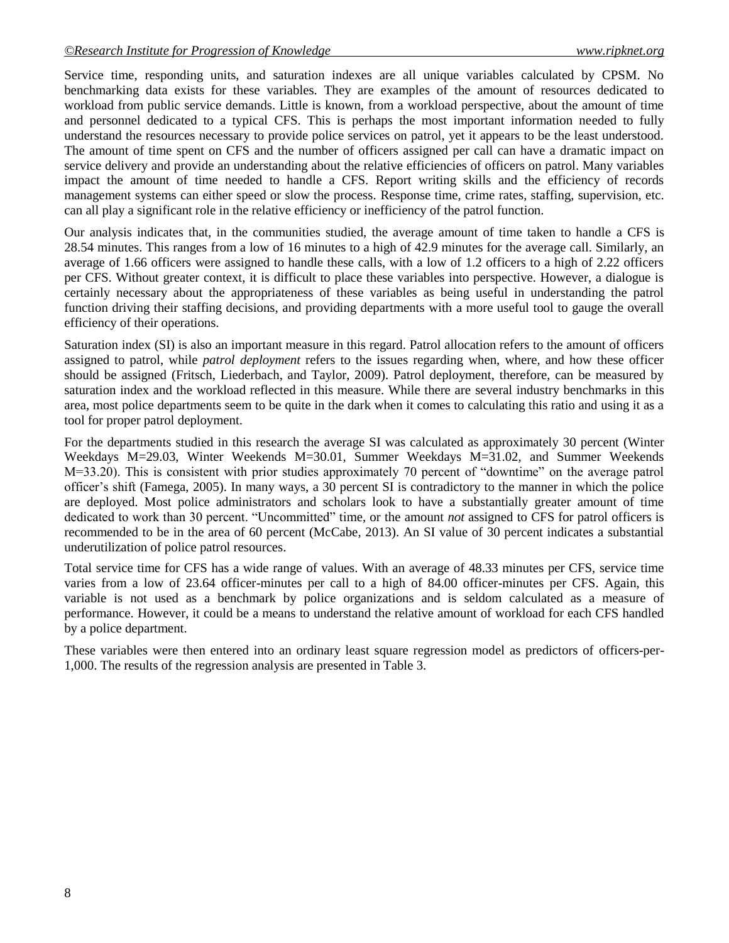Service time, responding units, and saturation indexes are all unique variables calculated by CPSM. No benchmarking data exists for these variables. They are examples of the amount of resources dedicated to workload from public service demands. Little is known, from a workload perspective, about the amount of time and personnel dedicated to a typical CFS. This is perhaps the most important information needed to fully understand the resources necessary to provide police services on patrol, yet it appears to be the least understood. The amount of time spent on CFS and the number of officers assigned per call can have a dramatic impact on service delivery and provide an understanding about the relative efficiencies of officers on patrol. Many variables impact the amount of time needed to handle a CFS. Report writing skills and the efficiency of records management systems can either speed or slow the process. Response time, crime rates, staffing, supervision, etc. can all play a significant role in the relative efficiency or inefficiency of the patrol function.

Our analysis indicates that, in the communities studied, the average amount of time taken to handle a CFS is 28.54 minutes. This ranges from a low of 16 minutes to a high of 42.9 minutes for the average call. Similarly, an average of 1.66 officers were assigned to handle these calls, with a low of 1.2 officers to a high of 2.22 officers per CFS. Without greater context, it is difficult to place these variables into perspective. However, a dialogue is certainly necessary about the appropriateness of these variables as being useful in understanding the patrol function driving their staffing decisions, and providing departments with a more useful tool to gauge the overall efficiency of their operations.

Saturation index (SI) is also an important measure in this regard. Patrol allocation refers to the amount of officers assigned to patrol, while *patrol deployment* refers to the issues regarding when, where, and how these officer should be assigned (Fritsch, Liederbach, and Taylor, 2009). Patrol deployment, therefore, can be measured by saturation index and the workload reflected in this measure. While there are several industry benchmarks in this area, most police departments seem to be quite in the dark when it comes to calculating this ratio and using it as a tool for proper patrol deployment.

For the departments studied in this research the average SI was calculated as approximately 30 percent (Winter Weekdays M=29.03, Winter Weekends M=30.01, Summer Weekdays M=31.02, and Summer Weekends  $M=33.20$ ). This is consistent with prior studies approximately 70 percent of "downtime" on the average patrol officer's shift (Famega, 2005). In many ways, a 30 percent SI is contradictory to the manner in which the police are deployed. Most police administrators and scholars look to have a substantially greater amount of time dedicated to work than 30 percent. "Uncommitted" time, or the amount *not* assigned to CFS for patrol officers is recommended to be in the area of 60 percent (McCabe, 2013). An SI value of 30 percent indicates a substantial underutilization of police patrol resources.

Total service time for CFS has a wide range of values. With an average of 48.33 minutes per CFS, service time varies from a low of 23.64 officer-minutes per call to a high of 84.00 officer-minutes per CFS. Again, this variable is not used as a benchmark by police organizations and is seldom calculated as a measure of performance. However, it could be a means to understand the relative amount of workload for each CFS handled by a police department.

These variables were then entered into an ordinary least square regression model as predictors of officers-per-1,000. The results of the regression analysis are presented in Table 3.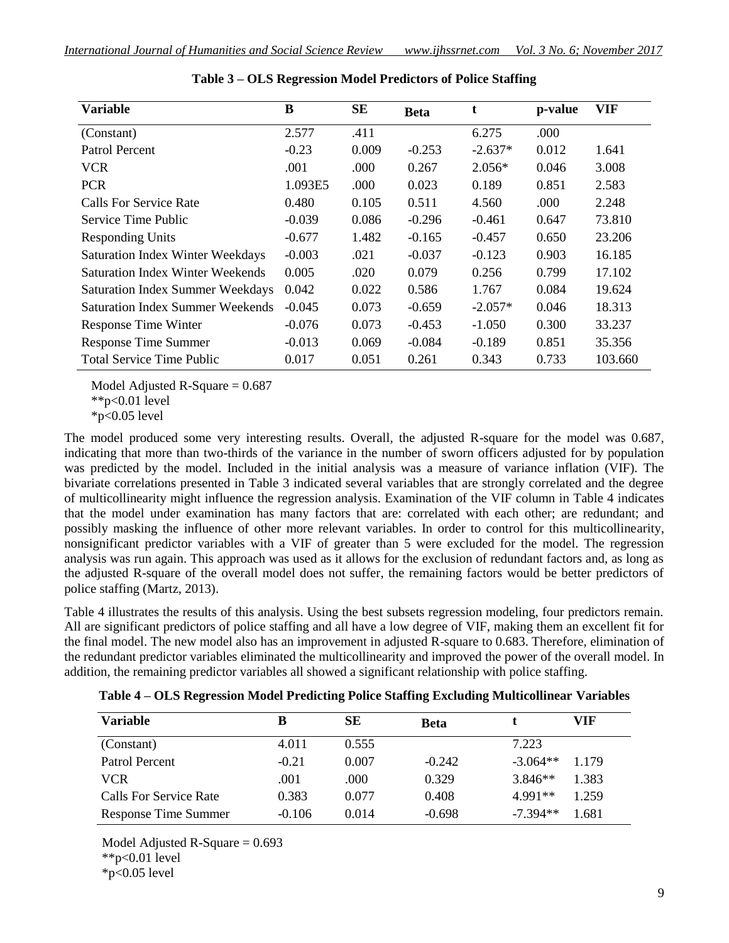| <b>Variable</b>                         | B        | <b>SE</b> | <b>Beta</b> |           | p-value | <b>VIF</b> |
|-----------------------------------------|----------|-----------|-------------|-----------|---------|------------|
| (Constant)                              | 2.577    | .411      |             | 6.275     | .000    |            |
| Patrol Percent                          | $-0.23$  | 0.009     | $-0.253$    | $-2.637*$ | 0.012   | 1.641      |
| <b>VCR</b>                              | .001     | .000      | 0.267       | $2.056*$  | 0.046   | 3.008      |
| <b>PCR</b>                              | 1.093E5  | .000      | 0.023       | 0.189     | 0.851   | 2.583      |
| Calls For Service Rate                  | 0.480    | 0.105     | 0.511       | 4.560     | .000    | 2.248      |
| Service Time Public                     | $-0.039$ | 0.086     | $-0.296$    | $-0.461$  | 0.647   | 73.810     |
| <b>Responding Units</b>                 | $-0.677$ | 1.482     | $-0.165$    | $-0.457$  | 0.650   | 23.206     |
| <b>Saturation Index Winter Weekdays</b> | $-0.003$ | .021      | $-0.037$    | $-0.123$  | 0.903   | 16.185     |
| <b>Saturation Index Winter Weekends</b> | 0.005    | .020      | 0.079       | 0.256     | 0.799   | 17.102     |
| <b>Saturation Index Summer Weekdays</b> | 0.042    | 0.022     | 0.586       | 1.767     | 0.084   | 19.624     |
| <b>Saturation Index Summer Weekends</b> | $-0.045$ | 0.073     | $-0.659$    | $-2.057*$ | 0.046   | 18.313     |
| <b>Response Time Winter</b>             | $-0.076$ | 0.073     | $-0.453$    | $-1.050$  | 0.300   | 33.237     |
| <b>Response Time Summer</b>             | $-0.013$ | 0.069     | $-0.084$    | $-0.189$  | 0.851   | 35.356     |
| <b>Total Service Time Public</b>        | 0.017    | 0.051     | 0.261       | 0.343     | 0.733   | 103.660    |

| Table 3 – OLS Regression Model Predictors of Police Staffing |  |  |
|--------------------------------------------------------------|--|--|
|--------------------------------------------------------------|--|--|

Model Adjusted R-Square  $= 0.687$ 

 $*p<0.01$  level

\*p<0.05 level

The model produced some very interesting results. Overall, the adjusted R-square for the model was 0.687, indicating that more than two-thirds of the variance in the number of sworn officers adjusted for by population was predicted by the model. Included in the initial analysis was a measure of variance inflation (VIF). The bivariate correlations presented in Table 3 indicated several variables that are strongly correlated and the degree of multicollinearity might influence the regression analysis. Examination of the VIF column in Table 4 indicates that the model under examination has many factors that are: correlated with each other; are redundant; and possibly masking the influence of other more relevant variables. In order to control for this multicollinearity, nonsignificant predictor variables with a VIF of greater than 5 were excluded for the model. The regression analysis was run again. This approach was used as it allows for the exclusion of redundant factors and, as long as the adjusted R-square of the overall model does not suffer, the remaining factors would be better predictors of police staffing (Martz, 2013).

Table 4 illustrates the results of this analysis. Using the best subsets regression modeling, four predictors remain. All are significant predictors of police staffing and all have a low degree of VIF, making them an excellent fit for the final model. The new model also has an improvement in adjusted R-square to 0.683. Therefore, elimination of the redundant predictor variables eliminated the multicollinearity and improved the power of the overall model. In addition, the remaining predictor variables all showed a significant relationship with police staffing.

| Variable               | в        | <b>SE</b> | <b>Beta</b> |            | VIF   |
|------------------------|----------|-----------|-------------|------------|-------|
| (Constant)             | 4.011    | 0.555     |             | 7.223      |       |
| Patrol Percent         | $-0.21$  | 0.007     | $-0.242$    | $-3.064**$ | 1.179 |
| <b>VCR</b>             | .001     | .000      | 0.329       | $3.846**$  | 1.383 |
| Calls For Service Rate | 0.383    | 0.077     | 0.408       | 4 9 91 **  | 1.259 |
| Response Time Summer   | $-0.106$ | 0.014     | $-0.698$    | $-7.394**$ | 1.681 |

**Table 4 – OLS Regression Model Predicting Police Staffing Excluding Multicollinear Variables**

Model Adjusted R-Square  $= 0.693$ \*\*p<0.01 level \*p<0.05 level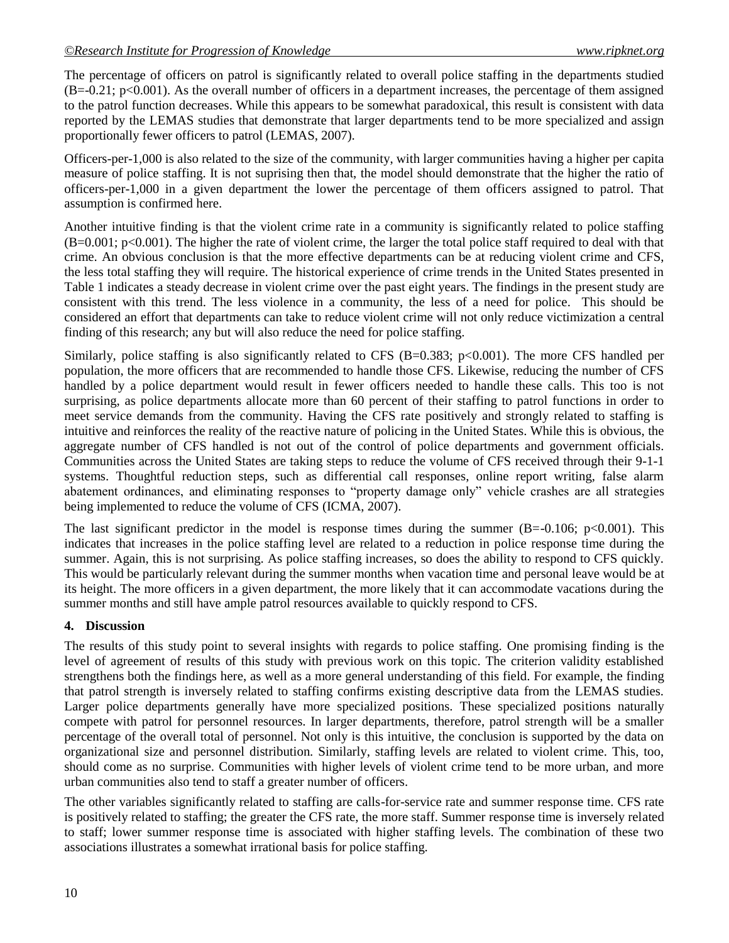The percentage of officers on patrol is significantly related to overall police staffing in the departments studied  $(B=-0.21; p<0.001)$ . As the overall number of officers in a department increases, the percentage of them assigned to the patrol function decreases. While this appears to be somewhat paradoxical, this result is consistent with data reported by the LEMAS studies that demonstrate that larger departments tend to be more specialized and assign proportionally fewer officers to patrol (LEMAS, 2007).

Officers-per-1,000 is also related to the size of the community, with larger communities having a higher per capita measure of police staffing. It is not suprising then that, the model should demonstrate that the higher the ratio of officers-per-1,000 in a given department the lower the percentage of them officers assigned to patrol. That assumption is confirmed here.

Another intuitive finding is that the violent crime rate in a community is significantly related to police staffing  $(B=0.001; p<0.001)$ . The higher the rate of violent crime, the larger the total police staff required to deal with that crime. An obvious conclusion is that the more effective departments can be at reducing violent crime and CFS, the less total staffing they will require. The historical experience of crime trends in the United States presented in Table 1 indicates a steady decrease in violent crime over the past eight years. The findings in the present study are consistent with this trend. The less violence in a community, the less of a need for police. This should be considered an effort that departments can take to reduce violent crime will not only reduce victimization a central finding of this research; any but will also reduce the need for police staffing.

Similarly, police staffing is also significantly related to CFS (B=0.383;  $p<0.001$ ). The more CFS handled per population, the more officers that are recommended to handle those CFS. Likewise, reducing the number of CFS handled by a police department would result in fewer officers needed to handle these calls. This too is not surprising, as police departments allocate more than 60 percent of their staffing to patrol functions in order to meet service demands from the community. Having the CFS rate positively and strongly related to staffing is intuitive and reinforces the reality of the reactive nature of policing in the United States. While this is obvious, the aggregate number of CFS handled is not out of the control of police departments and government officials. Communities across the United States are taking steps to reduce the volume of CFS received through their 9-1-1 systems. Thoughtful reduction steps, such as differential call responses, online report writing, false alarm abatement ordinances, and eliminating responses to "property damage only" vehicle crashes are all strategies being implemented to reduce the volume of CFS (ICMA, 2007).

The last significant predictor in the model is response times during the summer  $(B=-0.106; p<0.001)$ . This indicates that increases in the police staffing level are related to a reduction in police response time during the summer. Again, this is not surprising. As police staffing increases, so does the ability to respond to CFS quickly. This would be particularly relevant during the summer months when vacation time and personal leave would be at its height. The more officers in a given department, the more likely that it can accommodate vacations during the summer months and still have ample patrol resources available to quickly respond to CFS.

## **4. Discussion**

The results of this study point to several insights with regards to police staffing. One promising finding is the level of agreement of results of this study with previous work on this topic. The criterion validity established strengthens both the findings here, as well as a more general understanding of this field. For example, the finding that patrol strength is inversely related to staffing confirms existing descriptive data from the LEMAS studies. Larger police departments generally have more specialized positions. These specialized positions naturally compete with patrol for personnel resources. In larger departments, therefore, patrol strength will be a smaller percentage of the overall total of personnel. Not only is this intuitive, the conclusion is supported by the data on organizational size and personnel distribution. Similarly, staffing levels are related to violent crime. This, too, should come as no surprise. Communities with higher levels of violent crime tend to be more urban, and more urban communities also tend to staff a greater number of officers.

The other variables significantly related to staffing are calls-for-service rate and summer response time. CFS rate is positively related to staffing; the greater the CFS rate, the more staff. Summer response time is inversely related to staff; lower summer response time is associated with higher staffing levels. The combination of these two associations illustrates a somewhat irrational basis for police staffing.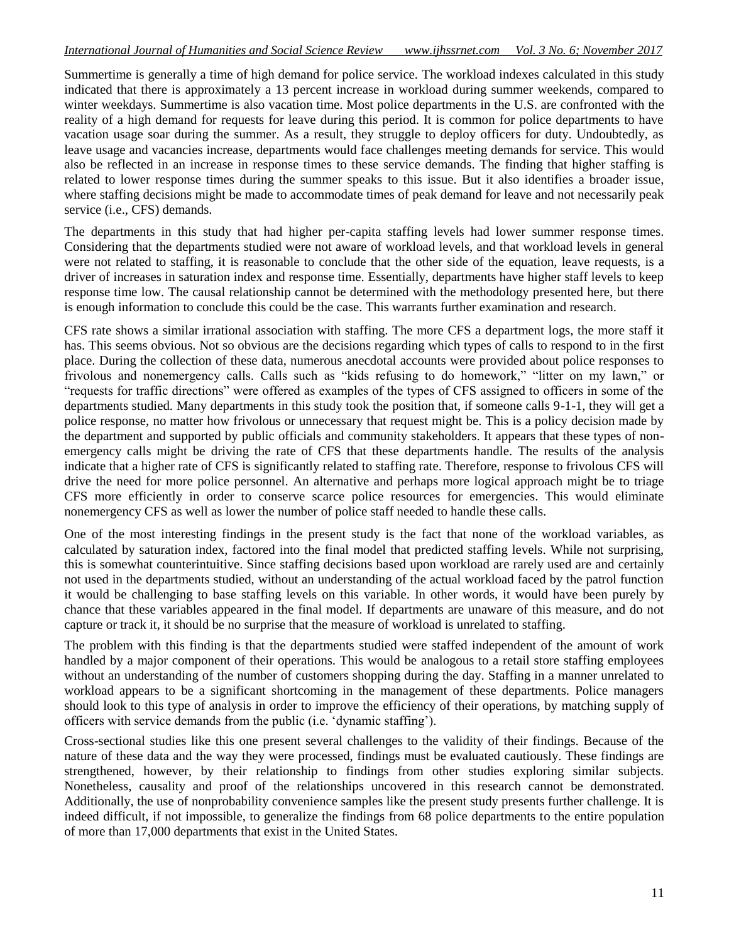Summertime is generally a time of high demand for police service. The workload indexes calculated in this study indicated that there is approximately a 13 percent increase in workload during summer weekends, compared to winter weekdays. Summertime is also vacation time. Most police departments in the U.S. are confronted with the reality of a high demand for requests for leave during this period. It is common for police departments to have vacation usage soar during the summer. As a result, they struggle to deploy officers for duty. Undoubtedly, as leave usage and vacancies increase, departments would face challenges meeting demands for service. This would also be reflected in an increase in response times to these service demands. The finding that higher staffing is related to lower response times during the summer speaks to this issue. But it also identifies a broader issue, where staffing decisions might be made to accommodate times of peak demand for leave and not necessarily peak service (i.e., CFS) demands.

The departments in this study that had higher per-capita staffing levels had lower summer response times. Considering that the departments studied were not aware of workload levels, and that workload levels in general were not related to staffing, it is reasonable to conclude that the other side of the equation, leave requests, is a driver of increases in saturation index and response time. Essentially, departments have higher staff levels to keep response time low. The causal relationship cannot be determined with the methodology presented here, but there is enough information to conclude this could be the case. This warrants further examination and research.

CFS rate shows a similar irrational association with staffing. The more CFS a department logs, the more staff it has. This seems obvious. Not so obvious are the decisions regarding which types of calls to respond to in the first place. During the collection of these data, numerous anecdotal accounts were provided about police responses to frivolous and nonemergency calls. Calls such as "kids refusing to do homework," "litter on my lawn," or "requests for traffic directions" were offered as examples of the types of CFS assigned to officers in some of the departments studied. Many departments in this study took the position that, if someone calls 9-1-1, they will get a police response, no matter how frivolous or unnecessary that request might be. This is a policy decision made by the department and supported by public officials and community stakeholders. It appears that these types of nonemergency calls might be driving the rate of CFS that these departments handle. The results of the analysis indicate that a higher rate of CFS is significantly related to staffing rate. Therefore, response to frivolous CFS will drive the need for more police personnel. An alternative and perhaps more logical approach might be to triage CFS more efficiently in order to conserve scarce police resources for emergencies. This would eliminate nonemergency CFS as well as lower the number of police staff needed to handle these calls.

One of the most interesting findings in the present study is the fact that none of the workload variables, as calculated by saturation index, factored into the final model that predicted staffing levels. While not surprising, this is somewhat counterintuitive. Since staffing decisions based upon workload are rarely used are and certainly not used in the departments studied, without an understanding of the actual workload faced by the patrol function it would be challenging to base staffing levels on this variable. In other words, it would have been purely by chance that these variables appeared in the final model. If departments are unaware of this measure, and do not capture or track it, it should be no surprise that the measure of workload is unrelated to staffing.

The problem with this finding is that the departments studied were staffed independent of the amount of work handled by a major component of their operations. This would be analogous to a retail store staffing employees without an understanding of the number of customers shopping during the day. Staffing in a manner unrelated to workload appears to be a significant shortcoming in the management of these departments. Police managers should look to this type of analysis in order to improve the efficiency of their operations, by matching supply of officers with service demands from the public (i.e. 'dynamic staffing').

Cross-sectional studies like this one present several challenges to the validity of their findings. Because of the nature of these data and the way they were processed, findings must be evaluated cautiously. These findings are strengthened, however, by their relationship to findings from other studies exploring similar subjects. Nonetheless, causality and proof of the relationships uncovered in this research cannot be demonstrated. Additionally, the use of nonprobability convenience samples like the present study presents further challenge. It is indeed difficult, if not impossible, to generalize the findings from 68 police departments to the entire population of more than 17,000 departments that exist in the United States.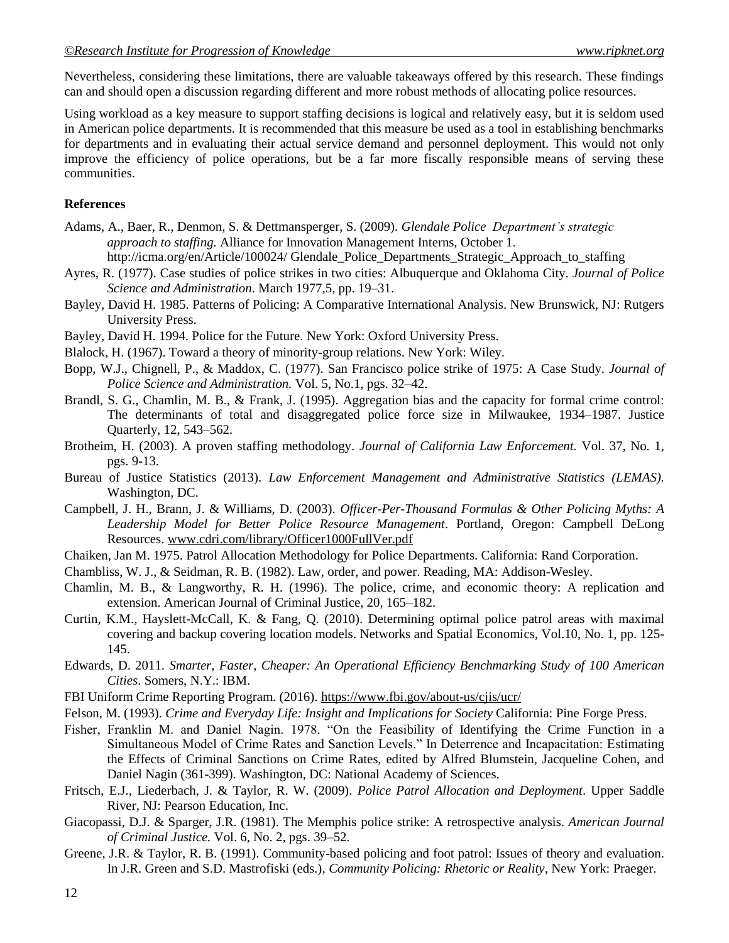Nevertheless, considering these limitations, there are valuable takeaways offered by this research. These findings can and should open a discussion regarding different and more robust methods of allocating police resources.

Using workload as a key measure to support staffing decisions is logical and relatively easy, but it is seldom used in American police departments. It is recommended that this measure be used as a tool in establishing benchmarks for departments and in evaluating their actual service demand and personnel deployment. This would not only improve the efficiency of police operations, but be a far more fiscally responsible means of serving these communities.

### **References**

- Adams, A., Baer, R., Denmon, S. & Dettmansperger, S. (2009). *Glendale Police Department's strategic approach to staffing.* Alliance for Innovation Management Interns, October 1. http://icma.org/en/Article/100024/ Glendale Police Departments Strategic Approach to staffing
- Ayres, R. (1977). Case studies of police strikes in two cities: Albuquerque and Oklahoma City. *Journal of Police Science and Administration*. March 1977,5, pp. 19–31.
- Bayley, David H. 1985. Patterns of Policing: A Comparative International Analysis. New Brunswick, NJ: Rutgers University Press.
- Bayley, David H. 1994. Police for the Future. New York: Oxford University Press.
- Blalock, H. (1967). Toward a theory of minority-group relations. New York: Wiley.
- Bopp, W.J., Chignell, P., & Maddox, C. (1977). San Francisco police strike of 1975: A Case Study. *Journal of Police Science and Administration.* Vol. 5, No.1, pgs. 32–42.
- Brandl, S. G., Chamlin, M. B., & Frank, J. (1995). Aggregation bias and the capacity for formal crime control: The determinants of total and disaggregated police force size in Milwaukee, 1934–1987. Justice Quarterly, 12, 543–562.
- Brotheim, H. (2003). A proven staffing methodology. *Journal of California Law Enforcement.* Vol. 37, No. 1, pgs. 9-13.
- Bureau of Justice Statistics (2013). *Law Enforcement Management and Administrative Statistics (LEMAS).*  Washington, DC.
- Campbell, J. H., Brann, J. & Williams, D. (2003). *Officer-Per-Thousand Formulas & Other Policing Myths: A Leadership Model for Better Police Resource Management*. Portland, Oregon: Campbell DeLong Resources[. www.cdri.com/library/Officer1000FullVer.pdf](http://www.cdri.com/library/Officer1000FullVer.pdf)
- Chaiken, Jan M. 1975. Patrol Allocation Methodology for Police Departments. California: Rand Corporation.
- Chambliss, W. J., & Seidman, R. B. (1982). Law, order, and power. Reading, MA: Addison-Wesley.
- Chamlin, M. B., & Langworthy, R. H. (1996). The police, crime, and economic theory: A replication and extension. American Journal of Criminal Justice, 20, 165–182.
- Curtin, K.M., Hayslett-McCall, K. & Fang, Q. (2010). Determining optimal police patrol areas with maximal covering and backup covering location models. Networks and Spatial Economics, Vol.10, No. 1, pp. 125- 145.
- Edwards, D. 2011. *Smarter, Faster, Cheaper: An Operational Efficiency Benchmarking Study of 100 American Cities*. Somers, N.Y.: IBM.
- FBI Uniform Crime Reporting Program. (2016)[. https://www.fbi.gov/about-us/cjis/ucr/](https://www.fbi.gov/about-us/cjis/ucr/)
- Felson, M. (1993). *Crime and Everyday Life: Insight and Implications for Society* California: Pine Forge Press.
- Fisher, Franklin M. and Daniel Nagin. 1978. "On the Feasibility of Identifying the Crime Function in a Simultaneous Model of Crime Rates and Sanction Levels." In Deterrence and Incapacitation: Estimating the Effects of Criminal Sanctions on Crime Rates, edited by Alfred Blumstein, Jacqueline Cohen, and Daniel Nagin (361-399). Washington, DC: National Academy of Sciences.
- Fritsch, E.J., Liederbach, J. & Taylor, R. W. (2009). *Police Patrol Allocation and Deployment*. Upper Saddle River, NJ: Pearson Education, Inc.
- Giacopassi, D.J. & Sparger, J.R. (1981). The Memphis police strike: A retrospective analysis. *American Journal of Criminal Justice.* Vol. 6, No. 2, pgs. 39–52.
- Greene, J.R. & Taylor, R. B. (1991). Community-based policing and foot patrol: Issues of theory and evaluation. In J.R. Green and S.D. Mastrofiski (eds.), *Community Policing: Rhetoric or Reality*, New York: Praeger.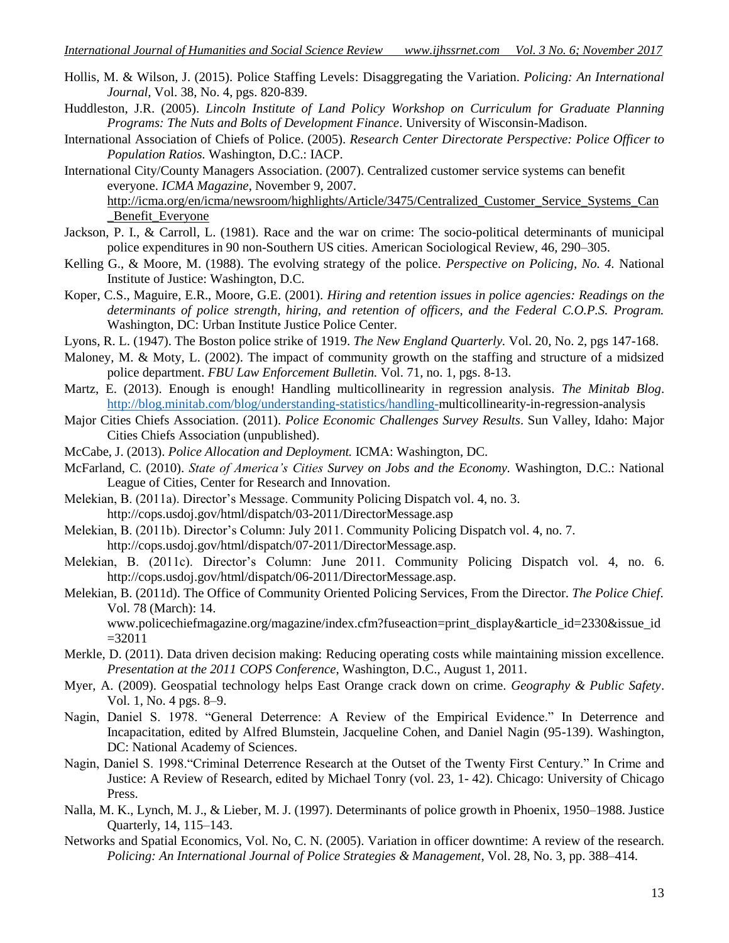- Hollis, M. & Wilson, J. (2015). Police Staffing Levels: Disaggregating the Variation. *Policing: An International Journal*, Vol. 38, No. 4, pgs. 820-839.
- Huddleston, J.R. (2005). *Lincoln Institute of Land Policy Workshop on Curriculum for Graduate Planning Programs: The Nuts and Bolts of Development Finance*. University of Wisconsin-Madison.
- International Association of Chiefs of Police. (2005). *Research Center Directorate Perspective: Police Officer to Population Ratios.* Washington, D.C.: IACP.
- International City/County Managers Association. (2007). Centralized customer service systems can benefit everyone. *ICMA Magazine*, November 9, 2007.

[http://icma.org/en/icma/newsroom/highlights/Article/3475/Centralized\\_Customer\\_Service\\_Systems\\_Can](http://icma.org/en/icma/newsroom/highlights/Article/3475/Centralized_Customer_Service_Systems_Can_Benefit_Everyone) Benefit\_Everyone

- Jackson, P. I., & Carroll, L. (1981). Race and the war on crime: The socio-political determinants of municipal police expenditures in 90 non-Southern US cities. American Sociological Review, 46, 290–305.
- Kelling G., & Moore, M. (1988). The evolving strategy of the police. *Perspective on Policing, No. 4.* National Institute of Justice: Washington, D.C.
- Koper, C.S., Maguire, E.R., Moore, G.E. (2001). *Hiring and retention issues in police agencies: Readings on the determinants of police strength, hiring, and retention of officers, and the Federal C.O.P.S. Program.* Washington, DC: Urban Institute Justice Police Center.
- Lyons, R. L. (1947). The Boston police strike of 1919. *The New England Quarterly.* Vol. 20, No. 2, pgs 147-168.
- Maloney, M. & Moty, L. (2002). The impact of community growth on the staffing and structure of a midsized police department. *FBU Law Enforcement Bulletin.* Vol. 71, no. 1, pgs. 8-13.
- Martz, E. (2013). Enough is enough! Handling multicollinearity in regression analysis. *The Minitab Blog*. [http://blog.minitab.com/blog/understanding-statistics/handling-m](http://blog.minitab.com/blog/understanding-statistics/handling-)ulticollinearity-in-regression-analysis
- Major Cities Chiefs Association. (2011). *Police Economic Challenges Survey Results*. Sun Valley, Idaho: Major Cities Chiefs Association (unpublished).
- McCabe, J. (2013). *Police Allocation and Deployment.* ICMA: Washington, DC.
- McFarland, C. (2010). *State of America's Cities Survey on Jobs and the Economy.* Washington, D.C.: National League of Cities, Center for Research and Innovation.
- Melekian, B. (2011a). Director's Message. Community Policing Dispatch vol. 4, no. 3. http://cops.usdoj.gov/html/dispatch/03-2011/DirectorMessage.asp
- Melekian, B. (2011b). Director's Column: July 2011. Community Policing Dispatch vol. 4, no. 7. http://cops.usdoj.gov/html/dispatch/07-2011/DirectorMessage.asp.
- Melekian, B. (2011c). Director's Column: June 2011. Community Policing Dispatch vol. 4, no. 6. http://cops.usdoj.gov/html/dispatch/06-2011/DirectorMessage.asp.
- Melekian, B. (2011d). The Office of Community Oriented Policing Services, From the Director. *The Police Chief*. Vol. 78 (March): 14.

www.policechiefmagazine.org/magazine/index.cfm?fuseaction=print\_display&article\_id=2330&issue\_id =32011

- Merkle, D. (2011). Data driven decision making: Reducing operating costs while maintaining mission excellence. *Presentation at the 2011 COPS Conference*, Washington, D.C., August 1, 2011.
- Myer, A. (2009). Geospatial technology helps East Orange crack down on crime. *Geography & Public Safety*. Vol. 1, No. 4 pgs. 8–9.
- Nagin, Daniel S. 1978. "General Deterrence: A Review of the Empirical Evidence." In Deterrence and Incapacitation, edited by Alfred Blumstein, Jacqueline Cohen, and Daniel Nagin (95-139). Washington, DC: National Academy of Sciences.
- Nagin, Daniel S. 1998. "Criminal Deterrence Research at the Outset of the Twenty First Century." In Crime and Justice: A Review of Research, edited by Michael Tonry (vol. 23, 1- 42). Chicago: University of Chicago Press.
- Nalla, M. K., Lynch, M. J., & Lieber, M. J. (1997). Determinants of police growth in Phoenix, 1950–1988. Justice Quarterly, 14, 115–143.
- Networks and Spatial Economics, Vol. No, C. N. (2005). Variation in officer downtime: A review of the research. *Policing: An International Journal of Police Strategies & Management*, Vol. 28, No. 3, pp. 388–414.